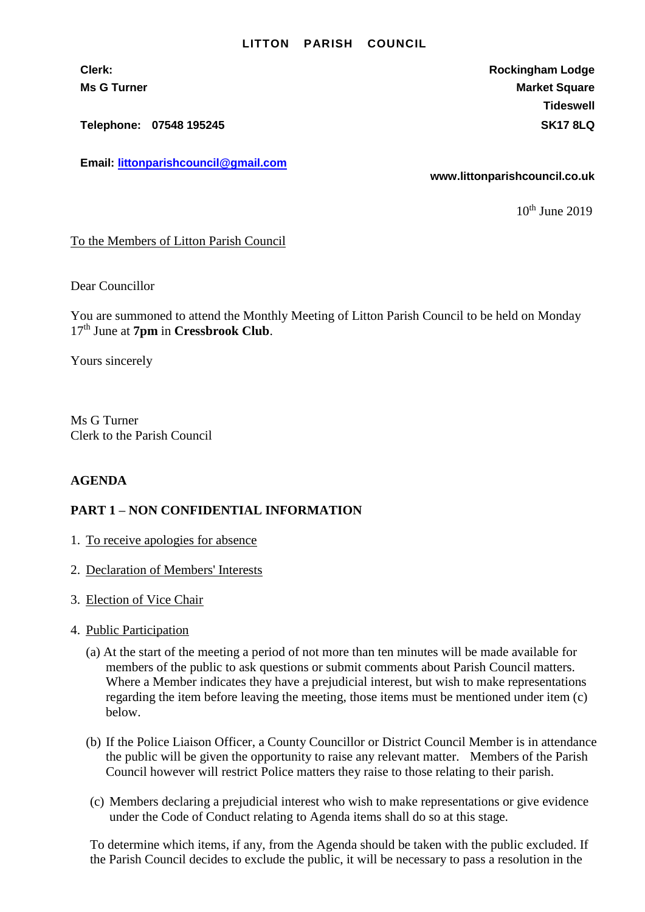#### **LITTON PARISH COUNCIL**

**Telephone: 07548 195245 SK17 8LQ**

**Email: [littonparishcouncil@gmail.com](mailto:littonparishcouncil@gmail.com)**

**Clerk: Rockingham Lodge Ms G Turner Market Square** Market Square Market Square Market Square **Tideswell**

**www.littonparishcouncil.co.uk**

 $10<sup>th</sup>$  June 2019

## To the Members of Litton Parish Council

Dear Councillor

You are summoned to attend the Monthly Meeting of Litton Parish Council to be held on Monday 17th June at **7pm** in **Cressbrook Club**.

Yours sincerely

Ms G Turner Clerk to the Parish Council

### **AGENDA**

### **PART 1 – NON CONFIDENTIAL INFORMATION**

- 1. To receive apologies for absence
- 2. Declaration of Members' Interests
- 3. Election of Vice Chair
- 4. Public Participation
	- (a) At the start of the meeting a period of not more than ten minutes will be made available for members of the public to ask questions or submit comments about Parish Council matters. Where a Member indicates they have a prejudicial interest, but wish to make representations regarding the item before leaving the meeting, those items must be mentioned under item (c) below.
	- (b) If the Police Liaison Officer, a County Councillor or District Council Member is in attendance the public will be given the opportunity to raise any relevant matter. Members of the Parish Council however will restrict Police matters they raise to those relating to their parish.
	- (c) Members declaring a prejudicial interest who wish to make representations or give evidence under the Code of Conduct relating to Agenda items shall do so at this stage.

To determine which items, if any, from the Agenda should be taken with the public excluded. If the Parish Council decides to exclude the public, it will be necessary to pass a resolution in the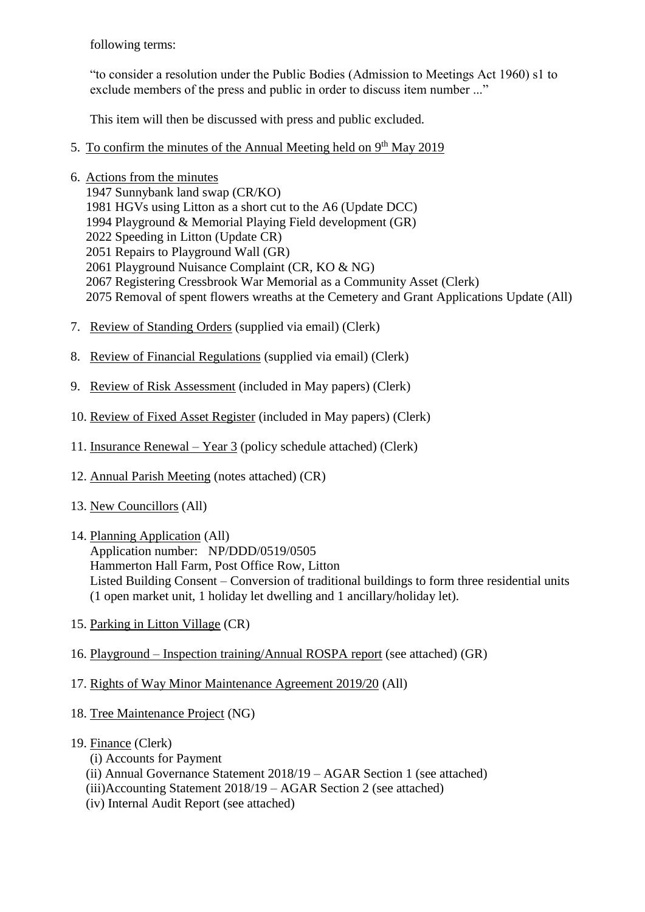following terms:

"to consider a resolution under the Public Bodies (Admission to Meetings Act 1960) s1 to exclude members of the press and public in order to discuss item number ..."

This item will then be discussed with press and public excluded.

- 5. To confirm the minutes of the Annual Meeting held on 9<sup>th</sup> May 2019
- 6. Actions from the minutes
	- 1947 Sunnybank land swap (CR/KO)
	- 1981 HGVs using Litton as a short cut to the A6 (Update DCC)
	- 1994 Playground & Memorial Playing Field development (GR)
	- 2022 Speeding in Litton (Update CR)
	- 2051 Repairs to Playground Wall (GR)
	- 2061 Playground Nuisance Complaint (CR, KO & NG)
	- 2067 Registering Cressbrook War Memorial as a Community Asset (Clerk)
	- 2075 Removal of spent flowers wreaths at the Cemetery and Grant Applications Update (All)
- 7. Review of Standing Orders (supplied via email) (Clerk)
- 8. Review of Financial Regulations (supplied via email) (Clerk)
- 9. Review of Risk Assessment (included in May papers) (Clerk)
- 10. Review of Fixed Asset Register (included in May papers) (Clerk)
- 11. Insurance Renewal Year 3 (policy schedule attached) (Clerk)
- 12. Annual Parish Meeting (notes attached) (CR)
- 13. New Councillors (All)
- 14. Planning Application (All)

Application number: NP/DDD/0519/0505 Hammerton Hall Farm, Post Office Row, Litton Listed Building Consent – Conversion of traditional buildings to form three residential units (1 open market unit, 1 holiday let dwelling and 1 ancillary/holiday let).

- 15. Parking in Litton Village (CR)
- 16. Playground Inspection training/Annual ROSPA report (see attached) (GR)
- 17. Rights of Way Minor Maintenance Agreement 2019/20 (All)
- 18. Tree Maintenance Project (NG)
- 19. Finance (Clerk)
	- (i) Accounts for Payment
	- (ii) Annual Governance Statement 2018/19 AGAR Section 1 (see attached)
	- (iii)Accounting Statement 2018/19 AGAR Section 2 (see attached)
	- (iv) Internal Audit Report (see attached)